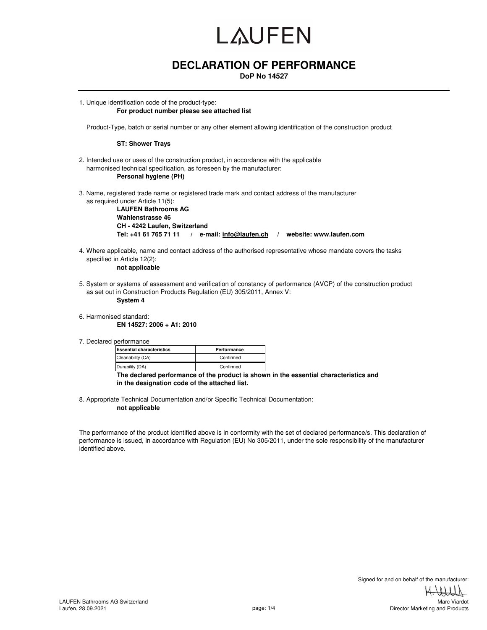## **DECLARATION OF PERFORMANCE**

**DoP No 14527**

1. Unique identification code of the product-type: **For product number please see attached list** 

Product-Type, batch or serial number or any other element allowing identification of the construction product

#### **ST: Shower Trays**

- 2. Intended use or uses of the construction product, in accordance with the applicable harmonised technical specification, as foreseen by the manufacturer: **Personal hygiene (PH)**
- 3. Name, registered trade name or registered trade mark and contact address of the manufacturer as required under Article 11(5):

**LAUFEN Bathrooms AG Wahlenstrasse 46 CH - 4242 Laufen, Switzerland Tel: +41 61 765 71 11 / e-mail: info@laufen.ch / website: www.laufen.com**

4. Where applicable, name and contact address of the authorised representative whose mandate covers the tasks specified in Article 12(2):

**not applicable**

- 5. System or systems of assessment and verification of constancy of performance (AVCP) of the construction product as set out in Construction Products Regulation (EU) 305/2011, Annex V: **System 4**
- 6. Harmonised standard: **EN 14527: 2006 + A1: 2010**
- 7. Declared performance

| <b>Essential characteristics</b> | Performance |  |  |  |
|----------------------------------|-------------|--|--|--|
| Cleanability (CA)                | Confirmed   |  |  |  |
| Durability (DA)                  | Confirmed   |  |  |  |

**The declared performance of the product is shown in the essential characteristics and in the designation code of the attached list.**

8. Appropriate Technical Documentation and/or Specific Technical Documentation: **not applicable**

The performance of the product identified above is in conformity with the set of declared performance/s. This declaration of performance is issued, in accordance with Regulation (EU) No 305/2011, under the sole responsibility of the manufacturer identified above.

Director Marketing and Products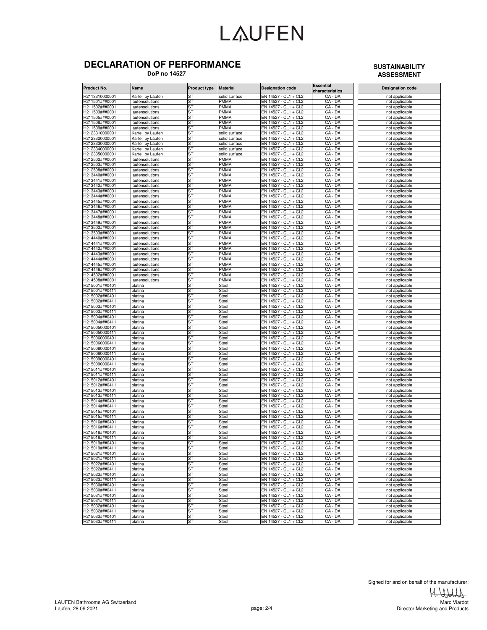### **DECLARATION OF PERFORMANCE**

 **DoP no 14527**

### **SUSTAINABILITY ASSESSMENT**

| Product No.                      | Name                               | <b>Product type</b> | <b>Material</b>            | <b>Designation code</b>                      | <b>Essential</b><br>characteristics | <b>Designation code</b>          |
|----------------------------------|------------------------------------|---------------------|----------------------------|----------------------------------------------|-------------------------------------|----------------------------------|
| H2113310000001                   | Kartell by Laufen                  | SТ                  | solid surface              | EN 14527 - CL1 + CL2                         | CA - DA                             | not applicable                   |
| H211501###0001                   | laufensolutions                    | ST                  | <b>PMMA</b>                | $\overline{EN14}$ 527 - CL1 + CL2            | CA - DA                             | not applicable                   |
| H211502###0001                   | laufensolutions                    | ST                  | PMMA                       | EN 14527 - CL1 + CL2                         | CA - DA                             | not applicable                   |
| H211503###0001                   | laufensolutions                    | ST                  | <b>PMMA</b>                | EN 14527 - CL1 + CL2                         | CA - DA                             | not applicable                   |
| H211505###0001                   | laufensolutions                    | ST                  | <b>PMMA</b>                | EN 14527 - CL1 + CL2                         | CA - DA                             | not applicable                   |
| H211508###0001                   | laufensolutions                    | ST                  | <b>PMMA</b>                | EN 14527 - CL1 + CL2                         | CA - DA                             | not applicable                   |
| 1211509###0001                   | laufensolutions                    | ST                  | PMMA                       | EN 14527 - CL1 + CL2                         | CA - DA                             | not applicable                   |
| H2123310000001                   | Kartell by Laufen                  | SТ                  | solid surface              | EN 14527 - CL1 + CL2                         | $CA - DA$                           | not applicable                   |
| H2123320000001                   | Kartell by Laufen                  | SТ                  | solid surface              | EN 14527 - CL1 + CL2                         | $CA - D\overline{A}$                | not applicable                   |
| H2123330000001                   | Kartell by Laufen                  | SТ                  | solid surface              | EN 14527 - CL1 + CL2                         | CA - DA                             | not applicable                   |
| H2123340000001                   | Kartell by Laufen                  | SТ                  | solid surface              | EN 14527 - CL1 + CL2                         | CA - DA                             | not applicable                   |
| H2123350000001                   | Kartell by Laufen                  | ST                  | solid surface              | EN 14527 - CL1 + CL2                         | CA - DA<br>CA - DA                  | not applicable                   |
| H212502###0001                   | laufensolutions                    | SТ<br>SТ            | <b>PMMA</b><br><b>PMMA</b> | EN 14527 - CL1 + CL2                         | $CA - D\overline{A}$                | not applicable                   |
| H212503###0001<br>H212508###0001 | laufensolutions<br>laufensolutions | <b>ST</b>           | <b>PMMA</b>                | EN 14527 - CL1 + CL2<br>EN 14527 - CL1 + CL2 | CA - DA                             | not applicable                   |
| H213440###0001                   | laufensolutions                    | SΤ                  | <b>PMMA</b>                | EN 14527 - CL1 + CL2                         | CA - DA                             | not applicable<br>not applicable |
| 1213441###0001                   | laufensolutions                    | SТ                  | <b>PMMA</b>                | EN 14527 - CL1 + CL2                         | CA - DA                             | not applicable                   |
| H213442###0001                   | laufensolutions                    | SТ                  | PMMA                       | EN 14527 - CL1 + CL2                         | $CA - DA$                           | not applicable                   |
| H213443###0001                   | laufensolutions                    | SТ                  | <b>PMMA</b>                | EN 14527 - CL1 + CL2                         | CA - DA                             | not applicable                   |
| H213444###0001                   | laufensolutions                    | SТ                  | <b>PMMA</b>                | EN 14527 - CL1 + CL2                         | CA - DA                             | not applicable                   |
| H213445###0001                   | laufensolutions                    | SΤ                  | <b>PMMA</b>                | EN 14527 - CL1 + CL2                         | CA - DA                             | not applicable                   |
| 1213446###0001                   | laufensolutions                    | SТ                  | PMMA                       | EN 14527 - CL1 + CL2                         | CA - DA                             | not applicable                   |
| H213447###0001                   | laufensolutions                    | ST                  | <b>PMMA</b>                | EN 14527 - CL1 + CL2                         | CA - DA                             | not applicable                   |
| H213448###0001                   | laufensolutions                    | ST                  | <b>PMMA</b>                | EN 14527 - CL1 + CL2                         | CA - DA                             | not applicable                   |
| H213449###0001                   | laufensolutions                    | <b>ST</b>           | <b>PMMA</b>                | EN 14527 - CL1 + CL2                         | CA - DA                             | not applicable                   |
| H213502###0001                   | laufensolutions                    | ST                  | <b>PMMA</b>                | EN 14527 - CL1 + CL2                         | CA - DA                             | not applicable                   |
| 1213503###0001                   | laufensolutions                    | ST                  | <b>PMMA</b>                | EN 14527 - CL1 + CL2                         | CA - DA                             | not applicable                   |
| 1214440###0001                   | laufensolutions                    | SТ                  | PMMA                       | EN 14527 - CL1 + CL2                         | CA - DA                             | not applicable                   |
| H214441###0001                   | laufensolutions                    | SТ                  | <b>PMMA</b>                | EN 14527 - CL1 + CL2                         | $CA - D\overline{A}$                | not applicable                   |
| H214442###0001                   | laufensolutions                    | SТ                  | <b>PMMA</b>                | EN 14527 - CL1 + CL2                         | CA - DA                             | not applicable                   |
| H214443###0001                   | laufensolutions                    | SТ                  | <b>PMMA</b>                | EN 14527 - CL1 + CL2                         | CA - DA                             | not applicable                   |
| 1214444###0001                   | laufensolutions                    | ST                  | <b>PMMA</b>                | EN 14527 - CL1 + CL2                         | CA - DA                             | not applicable                   |
| H214445###0001                   | laufensolutions                    | SТ                  | PMMA                       | EN 14527 - CL1 + CL2                         | CA - DA                             | not applicable                   |
| H214446###0001                   | laufensolutions                    | SТ                  | <b>PMMA</b>                | EN 14527 - CL1 + CL2                         | CA - DA                             | not applicable                   |
| H214502###0001                   | laufensolutions                    | <b>ST</b><br>SΤ     | <b>PMMA</b><br>PMMA        | EN 14527 - CL1 + CL2                         | CA - DA                             | not applicable                   |
| H214508###0001<br>1215001###0401 | laufensolutions                    | SТ                  |                            | EN 14527 - CL1 + CL2<br>EN 14527 - CL1 + CL2 | CA - DA<br>CA - DA                  | not applicable                   |
| H215001###0411                   | platina                            | SТ                  | Steel                      | EN 14527 - CL1 + CL2                         | $CA - DA$                           | not applicable                   |
| H215002###0401                   | platina<br>platina                 | SТ                  | Steel<br>Steel             | EN 14527 - CL1 + CL2                         | CA - DA                             | not applicable<br>not applicable |
| H215002###0411                   | platina                            | ST                  | Steel                      | EN 14527 - CL1 + CL2                         | CA - DA                             | not applicable                   |
| H215003###0401                   | platina                            | SΤ                  | Steel                      | EN 14527 - CL1 + CL2                         | CA - DA                             | not applicable                   |
| 1215003###0411                   | platina                            | SТ                  | Steel                      | EN 14527 - CL1 + CL2                         | CA - DA                             | not applicable                   |
| 1215004###0401                   | platina                            | ST                  | Steel                      | EN 14527 - CL1 + CL2                         | CA - DA                             | not applicable                   |
| H215004###0411                   | platina                            | ST                  | Steel                      | EN 14527 - CL1 + CL2                         | CA - DA                             | not applicable                   |
| H2150050000401                   | platina                            | <b>ST</b>           | Steel                      | EN 14527 - CL1 + CL2                         | CA - DA                             | not applicable                   |
| H2150050000411                   | platina                            | SТ                  | Steel                      | EN 14527 - CL1 + CL2                         | CA - DA                             | not applicable                   |
| H2150060000401                   | platina                            | ST                  | Steel                      | EN 14527 - CL1 + CL2                         | CA - DA                             | not applicable                   |
| H2150060000411                   | platina                            | SΤ                  | Steel                      | EN 14527 - CL1 + CL2                         | CA - DA                             | not applicable                   |
| H2150080000401                   | platina                            | SТ                  | Steel                      | EN 14527 - CL1 + CL2                         | $CA - D\overline{A}$                | not applicable                   |
| H2150080000411                   | platina                            | SТ                  | Steel                      | EN 14527 - CL1 + CL2                         | CA - DA                             | not applicable                   |
| H2150090000401                   | platina                            | SТ                  | Steel                      | EN 14527 - CL1 + CL2                         | CA - DA                             | not applicable                   |
| 12150090000411                   | platina                            | ST                  | Steel                      | EN 14527 - CL1 + CL2                         | CA - DA                             | not applicable                   |
| H215011###0401                   | platina                            | SТ                  | Steel                      | EN 14527 - CL1 + CL2                         | CA - DA                             | not applicable                   |
| H215011###0411                   | platina                            | SТ<br><b>ST</b>     | Steel                      | EN 14527 - CL1 + CL2                         | CA - DA                             | not applicable                   |
| H215012###0401<br>H215012###0411 | platina<br>platina                 | SΤ                  | Steel<br>Steel             | EN 14527 - CL1 + CL2<br>EN 14527 - CL1 + CL2 | CA - DA<br>CA - DA                  | not applicable<br>not applicable |
| 1215013###0401                   | platina                            | ST                  | Steel                      | EN 14527 - CL1 + CL2                         | CA - DA                             | not applicable                   |
| H215013###0411                   | platina                            | SΤ                  | Steel                      | EN 14527 - CL1 + CL2                         | $CA - DA$                           | not applicable                   |
| H215014###0401                   | platina                            | SТ                  | Steel                      | EN 14527 - CL1 + CL2                         | CA - DA                             | not applicable                   |
| H215014###0411                   | platina                            | ST                  | Steel                      | EN 14527 - CL1 + CL2                         | CA - DA                             | not applicable                   |
| H215015###0401                   | platina                            | SТ                  | Steel                      | EN 14527 - CL1 + CL2                         | CA - DA                             | not applicable                   |
| 1215015###0411                   | platina                            | SТ                  | Steel                      | EN 14527 - CL1 + CL2                         | CA - DA                             | not applicable                   |
| 1215016###0401                   | platina                            | SТ                  | Steel                      | EN 14527 - CL1 + CL2                         | CA - DA                             | not applicable                   |
| H215016###0411                   | platina                            | SТ                  | Steel                      | EN 14527 - CL1 + CL2                         | CA - DA                             | not applicable                   |
| H215018###0401                   | platina                            | ST                  | Steel                      | EN 14527 - CL1 + CL2                         | CA - DA                             | not applicable                   |
| l215018###0411                   |                                    |                     |                            | $\cap$ :<br>N 14527 ·                        |                                     |                                  |
| H215019###0401                   | platina                            | ST                  | Steel                      | EN 14527 - CL1 + CL2                         | CA - DA                             | not applicable                   |
| H215019###0411                   | platina                            | SТ                  | Steel                      | EN 14527 - CL1 + CL2                         | CA - DA                             | not applicable                   |
| H215021###0401                   | platina                            | SТ                  | Steel                      | EN 14527 - CL1 + CL2                         | $CA - D\overline{A}$                | not applicable                   |
| H215021###0411                   | platina                            | <b>ST</b>           | Steel                      | EN 14527 - CL1 + CL2                         | CA - DA                             | not applicable                   |
| H215022###0401                   | platina                            | ST                  | Steel                      | EN 14527 - CL1 + CL2                         | CA - DA                             | not applicable                   |
| H215022###0411                   | platina                            | ST                  | Steel                      | EN 14527 - CL1 + CL2<br>EN 14527 - CL1 + CL2 | CA - DA                             | not applicable                   |
| H215023###0401<br>H215023###0411 | platina                            | ST<br><b>ST</b>     | Steel<br>Steel             | EN 14527 - CL1 + CL2                         | $CA - DA$<br>$CA - D\overline{A}$   | not applicable<br>not applicable |
| H215030###0401                   | platina<br>platina                 | <b>ST</b>           | Steel                      | EN 14527 - CL1 + CL2                         | CA - DA                             | not applicable                   |
| H215030###0411                   | platina                            | ST                  | Steel                      | EN 14527 - CL1 + CL2                         | CA - DA                             | not applicable                   |
| H215031###0401                   | platina                            | <b>ST</b>           | Steel                      | EN 14527 - CL1 + CL2                         | CA - DA                             | not applicable                   |
| H215031###0411                   | platina                            | ST                  | Steel                      | EN 14527 - CL1 + CL2                         | $CA - DA$                           | not applicable                   |
| H215032###0401                   | platina                            | ST                  | Steel                      | EN 14527 - CL1 + CL2                         | CA - DA                             | not applicable                   |
| H215032###0411                   | platina                            | ST                  | Steel                      | EN 14527 - CL1 + CL2                         | CA - DA                             | not applicable                   |
| H215033###0401                   | platina                            | <b>ST</b>           | Steel                      | EN 14527 - CL1 + CL2                         | CA - DA                             | not applicable                   |
| H215033###0411                   | platina                            | <b>ST</b>           | Steel                      | EN 14527 - CL1 + CL2                         | CA - DA                             | not applicable                   |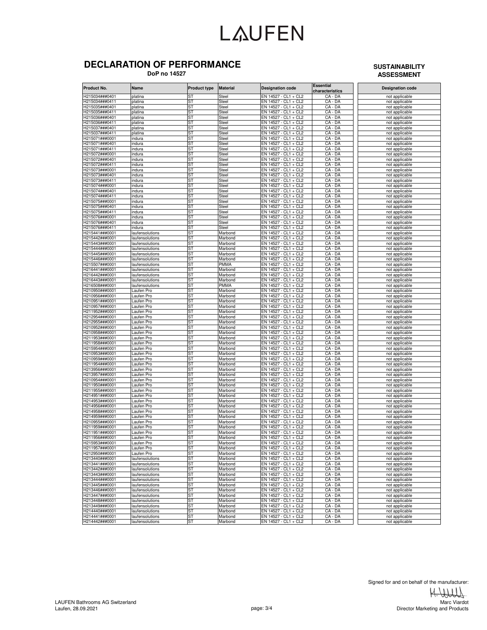### **DECLARATION OF PERFORMANCE**

 **DoP no 14527**

### **SUSTAINABILITY ASSESSMENT**

| Product No.                       | Name                               | <b>Product type</b> | <b>Material</b>    | <b>Designation code</b>                      | <b>Essential</b><br>characteristics | <b>Designation code</b>          |
|-----------------------------------|------------------------------------|---------------------|--------------------|----------------------------------------------|-------------------------------------|----------------------------------|
| H215034###0401                    | platina                            | ST                  | Steel              | EN 14527 - CL1 + CL2                         | CA - DA                             | not applicable                   |
| H215034###0411                    | platina                            | <b>ST</b>           | Steel              | EN 14527 - CL1 + CL2                         | CA - DA                             | not applicable                   |
| H215035###0401                    | platina                            | ST                  | Steel              | EN 14527 - CL1 + CL2                         | $CA - DA$                           | not applicable                   |
| H215035###0411                    | platina                            | SТ                  | Steel              | EN 14527 - CL1 + CL2                         | CA - DA                             | not applicable                   |
| H215036###0401                    | platina                            | ST                  | Steel              | EN 14527 - CL1 + CL2                         | CA - DA                             | not applicable                   |
| 1215036###0411                    | platina                            | ST                  | Steel              | EN 14527 -<br>$CL1 + CL2$                    | CA-<br>- DA                         | not applicable                   |
| -1215037###0401<br>1215037###0411 | platina                            | ST<br>ST            | Steel              | EN 14527 - CL1 + CL2<br>EN 14527 - CL1 + CL2 | CA - DA<br>CA - DA                  | not applicable                   |
| H215071###0001                    | platina<br>indura                  | ST                  | Steel<br>Steel     | EN 14527 - CL1 + CL2                         | CA - DA                             | not applicable<br>not applicable |
| H215071###0401                    | indura                             | ST                  | Steel              | EN 14527 - CL1 + CL2                         | CA - DA                             | not applicable                   |
| H215071###0411                    | indura                             | ST                  | Steel              | EN 14527 - CL1 + CL2                         | CA - DA                             | not applicable                   |
| H215072###0001                    | indura                             | ST                  | Steel              | EN 14527 - CL1 + CL2                         | CA - DA                             | not applicable                   |
| 1215072###0401                    | indura                             | ST                  | Steel              | EN 14527 - CL1 + CL2                         | CA - DA                             | not applicable                   |
| H215072###0411                    | indura                             | ST                  | Steel              | EN 14527 - CL1 + CL2                         | CA - DA                             | not applicable                   |
| H215073###0001                    | indura                             | <b>ST</b>           | Steel              | EN 14527 - CL1 + CL2                         | CA - DA                             | not applicable                   |
| H215073###0401                    | ndura                              | ST                  | Steel              | $EN$ 14527 - CL1 + CL2                       | CA - DA                             | not applicable                   |
| 1215073###0411                    | indura                             | <b>ST</b>           | Steel              | EN 14527 - CL1 + CL2                         | CA - DA                             | not applicable                   |
| 1215074###0001                    | ndura                              | ST                  | Steel              | EN 14527 - CL1 + CL2                         | CA - DA                             | not applicable                   |
| H215074###0401<br>H215074###0411  | indura                             | SТ<br>ST            | Steel              | EN 14527 - CL1 + CL2<br>EN 14527 - CL1 + CL2 | CA - DA<br>CA - DA                  | not applicable                   |
| H215075###0001                    | indura<br>indura                   | ST                  | Steel<br>Steel     | $EN$ 14527 - CL1 + CL2                       | CA - DA                             | not applicable                   |
| -1215075###0401                   | indura                             | ST                  | Steel              | EN 14527 - CL1 + CL2                         | CA - DA                             | not applicable<br>not applicable |
| 1215075###0411                    | indura                             | ST                  | Steel              | EN 14527 - CL1 + CL2                         | $CA - DA$                           | not applicable                   |
| H215076###0001                    | indura                             | ST                  | Steel              | EN 14527 - CL1 + CL2                         | CA - DA                             | not applicable                   |
| H215076###0401                    | indura                             | <b>ST</b>           | Steel              | EN 14527 - CL1 + CL2                         | CA - DA                             | not applicable                   |
| H215076###0411                    | indura                             | ST                  | Steel              | EN 14527 - CL1 + CL2                         | CA - DA                             | not applicable                   |
| -1215441###0001                   | laufensolutions                    | <b>ST</b>           | Marbond            | EN 14527 - CL1 + CL2                         | CA - DA                             | not applicable                   |
| 1215442###0001                    | laufensolutions                    | ST                  | Marbond            | EN 14527 - CL1 + CL2                         | CA - DA                             | not applicable                   |
| H215443###0001                    | laufensolutions                    | SТ                  | Marbond            | EN 14527 - CL1 + CL2                         | CA - DA                             | not applicable                   |
| H215444###0001                    | laufensolutions                    | SТ                  | Marbond            | EN 14527 - CL1 + CL2                         | CA - DA                             | not applicable                   |
| H215445###0001                    | laufensolutions                    | ST                  | Marbond            | EN 14527 - CL1 + CL2                         | CA - DA                             | not applicable                   |
| 1215446###0001                    | laufensolutions                    | ST                  | Marbond            | EN 14527 - CL1 + CL2                         | CA - DA                             | not applicable                   |
| H215507###0001                    | laufensolutions                    | ST                  | PMMA               | EN 14527 - CL1 + CL2                         | $CA - DA$                           | not applicable                   |
| H216441###0001<br>H216442###0001  | laufensolutions<br>laufensolutions | ST<br>ST            | Marbond<br>Marbond | EN 14527 - CL1 + CL2<br>EN 14527 - CL1 + CL2 | CA - DA<br>CA - DA                  | not applicable                   |
| 1216443###0001                    | aufensolutions                     | ST                  | Marbond            | EN 14527 -<br>$CL1 + CL2$                    | CA - DA                             | not applicable<br>not applicable |
| 1216508###0001                    | aufensolutions                     | ST                  | PMMA               | EN 14527 - CL1 + CL2                         | CA - DA                             | not applicable                   |
| 1210950###0001                    | aufen Pro                          | ST                  | Marbond            | EN 14527 - CL1 + CL2                         | CA - DA                             | not applicable                   |
| H210956###0001                    | Laufen Pro                         | ST                  | Marbond            | EN 14527 - CL1 + CL2                         | CA - DA                             | not applicable                   |
| H210951###0001                    | Laufen Pro                         | ST                  | Marbond            | EN 14527 - CL1 + CL2                         | CA - DA                             | not applicable                   |
| H210957###0001                    | aufen Pro                          | ST                  | Marbond            | EN 14527 - CL1 + CL2                         | CA - DA                             | not applicable                   |
| -1211952###0001                   | aufen Pro.                         | ST                  | Marbond            | EN 14527 - CL1 + CL2                         | CA - DA                             | not applicable                   |
| H212954###0001                    | aufen Pro                          | ST                  | Marbond            | EN 14527 - CL1 + CL2                         | CA - DA                             | not applicable                   |
| H212955###0001                    | aufen Pro.                         | ST                  | Marbond            | EN 14527 - CL1 + CL2                         | CA - DA                             | not applicable                   |
| H210952###0001                    | Laufen Pro                         | <b>ST</b>           | Marbond            | EN 14527 - CL1 + CL2                         | CA - DA                             | not applicable                   |
| H210958###0001                    | aufen Pro                          | ST                  | Marbond            | $EN$ 14527 - CL1 + CL2                       | CA - DA                             | not applicable                   |
| 1211953###0001<br>1211958###0001  | aufen Pro.<br>aufen Pro            | <b>ST</b><br>ST     | Marbond            | EN 14527 - CL1 + CL2                         | CA - DA<br>CA - DA                  | not applicable                   |
| H215954###0001                    | Laufen Pro                         | SТ                  | Marbond<br>Marbond | EN 14527 - CL1 + CL2<br>EN 14527 - CL1 + CL2 | CA - DA                             | not applicable<br>not applicable |
| H210953###0001                    | Laufen Pro                         | ST                  | Marbond            | EN 14527 - CL1 + CL2                         | CA - DA                             | not applicable                   |
| H210959###0001                    | aufen Pro                          | ST                  | Marbond            | EN 14527 - CL1 + CL2                         | CA - DA                             | not applicable                   |
| -1211954###0001                   | aufen Pro.                         | ST                  | Marbond            | EN 14527 - CL1 + CL2                         | CA - DA                             | not applicable                   |
| 1213956###0001                    | aufen Pro                          | ST                  | Marbond            | EN 14527 - CL1 + CL2                         | CA - DA                             | not applicable                   |
| H213957###0001                    | aufen Pro                          | ST                  | Marbond            | EN 14527 - CL1 + CL2                         | CA - DA                             | not applicable                   |
| H210954###0001                    | Laufen Pro                         | <b>ST</b>           | Marbond            | EN 14527 - CL1 + CL2                         | CA - DA                             | not applicable                   |
| H211950###0001                    | aufen Pro                          | ST                  | Marbond            | $EN$ 14527 - CL1 + CL2                       | CA - DA                             | not applicable                   |
| 1211955###0001                    | aufen Pro.                         | <b>ST</b>           | Marbond            | EN 14527 - CL1 + CL2                         | CA - DA                             | not applicable                   |
| 1214951###0001                    | aufen Pro                          | ST                  | Marbond            | EN 14527 - CL1 + CL2                         | CA - DA                             | not applicable                   |
| H214953###0001                    | aufen Pro                          | SТ                  | Marbond            | EN 14527 - CL1 + CL2                         | CA - DA                             | not applicable                   |
| H214956###0001                    | Laufen Pro                         | ST<br>ST            | Marbond            | EN 14527 - CL1 + CL2                         | CA - DA                             | not applicable                   |
| H214958###0001<br>-1214959###0001 | aufen Pro<br>aufen Pro.            | ST                  | Marbond<br>Marbond | EN 14527 - CL1 + CL2<br>EN 14527 - CL1 + CL2 | CA - DA<br>CA - DA                  | not applicable<br>not applicable |
| H210955###0001                    | aufen Pro                          | ST                  | Marbond            | EN 14527 - CL1 + CL2                         | $CA - DA$                           | not applicable                   |
| H211959###0001                    | aufen Pro                          | SТ                  | Marbond            | EN 14527 - CL1 + CL2                         | CA - DA                             | not applicable                   |
| H211951###0001                    | Laufen Pro                         | ST                  | Marbond            | EN 14527 - CL1 + CL2                         | CA - DA                             | not applicable                   |
| H211956###0001                    | aufen Pro                          |                     | Marhonc            | EN 14527 - CL1                               |                                     | annlic                           |
| H215953###0001                    | aufen Pro                          | ST                  | Marbond            | EN 14527 - CL1 + CL2                         | CA - DA                             | not applicable                   |
| H211957###0001                    | Laufen Pro                         | ST                  | Marbond            | EN 14527 - CL1 + CL2                         | CA - DA                             | not applicable                   |
| H212950###0001                    | Laufen Pro                         | ST                  | Marbond            | EN 14527 - CL1 + CL2                         | $CA - DA$                           | not applicable                   |
| H213440###0001                    | laufensolutions                    | ST                  | Marbond            | EN 14527 - CL1 + CL2                         | $CA - D\overline{AA}$               | not applicable                   |
| H213441###0001                    | laufensolutions                    | ST                  | Marbond            | EN 14527 - CL1 + CL2                         | $CA - DA$                           | not applicable                   |
| H213442###0001                    | laufensolutions                    | <b>ST</b>           | Marbond            | EN 14527 - CL1 + CL2                         | CA - DA                             | not applicable                   |
| H213443###0001                    | laufensolutions                    | ST                  | Marbond            | EN 14527 - CL1 + CL2                         | CA - DA                             | not applicable                   |
| H213444###0001                    | laufensolutions                    | ST                  | Marbond            | EN 14527 - CL1 + CL2                         | CA - DA                             | not applicable                   |
| H213445###0001                    | laufensolutions                    | <b>ST</b>           | Marbond            | EN 14527 - CL1 + CL2                         | CA - DA                             | not applicable                   |
| H213446###0001<br>H213447###0001  | laufensolutions                    | <b>ST</b>           | Marbond            | EN 14527 - CL1 + CL2                         | CA - DA                             | not applicable                   |
| H213448###0001                    | laufensolutions<br>laufensolutions | <b>ST</b><br>ST     | Marbond            | EN 14527 - CL1 + CL2<br>EN 14527 - CL1 + CL2 | CA - DA<br>CA - DA                  | not applicable<br>not applicable |
| H213449###0001                    | laufensolutions                    | ST                  | Marbond<br>Marbond | EN 14527 - CL1 + CL2                         | $CA - DA$                           | not applicable                   |
| H214440###0001                    | laufensolutions                    | ST                  | Marbond            | EN 14527 - CL1 + CL2                         | CA - DA                             | not applicable                   |
| H214441###0001                    | laufensolutions                    | ST                  | Marbond            | EN 14527 - CL1 + CL2                         | CA - DA                             | not applicable                   |
| H214442###0001                    | laufensolutions                    | <b>ST</b>           | Marbond            | EN 14527 - CL1 + CL2                         | CA - DA                             | not applicable                   |